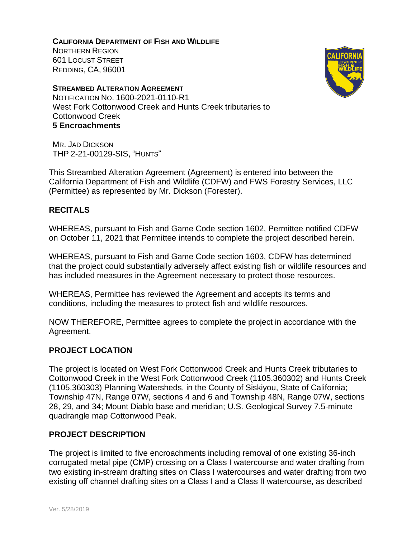**CALIFORNIA DEPARTMENT OF FISH AND WILDLIFE** NORTHERN REGION 601 LOCUST STREET REDDING, CA, 96001





This Streambed Alteration Agreement (Agreement) is entered into between the California Department of Fish and Wildlife (CDFW) and FWS Forestry Services, LLC (Permittee) as represented by Mr. Dickson (Forester).

# **RECITALS**

WHEREAS, pursuant to Fish and Game Code section 1602, Permittee notified CDFW on October 11, 2021 that Permittee intends to complete the project described herein.

WHEREAS, pursuant to Fish and Game Code section 1603, CDFW has determined that the project could substantially adversely affect existing fish or wildlife resources and has included measures in the Agreement necessary to protect those resources.

WHEREAS, Permittee has reviewed the Agreement and accepts its terms and conditions, including the measures to protect fish and wildlife resources.

NOW THEREFORE, Permittee agrees to complete the project in accordance with the Agreement.

### **PROJECT LOCATION**

The project is located on West Fork Cottonwood Creek and Hunts Creek tributaries to Cottonwood Creek in the West Fork Cottonwood Creek (1105.360302) and Hunts Creek (1105.360303) Planning Watersheds, in the County of Siskiyou, State of California; Township 47N, Range 07W, sections 4 and 6 and Township 48N, Range 07W, sections 28, 29, and 34; Mount Diablo base and meridian; U.S. Geological Survey 7.5-minute quadrangle map Cottonwood Peak.

### **PROJECT DESCRIPTION**

The project is limited to five encroachments including removal of one existing 36-inch corrugated metal pipe (CMP) crossing on a Class I watercourse and water drafting from two existing in-stream drafting sites on Class I watercourses and water drafting from two existing off channel drafting sites on a Class I and a Class II watercourse, as described



**CALIFORNIA** DEPARTMENT OF FISH & WILDLIFE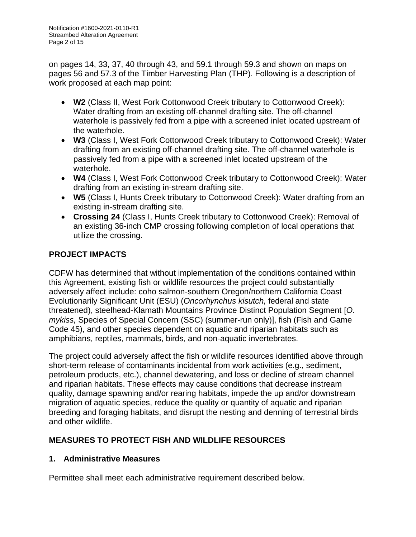on pages 14, 33, 37, 40 through 43, and 59.1 through 59.3 and shown on maps on pages 56 and 57.3 of the Timber Harvesting Plan (THP). Following is a description of work proposed at each map point:

- **W2** (Class II, West Fork Cottonwood Creek tributary to Cottonwood Creek): Water drafting from an existing off-channel drafting site. The off-channel waterhole is passively fed from a pipe with a screened inlet located upstream of the waterhole.
- **W3** (Class I, West Fork Cottonwood Creek tributary to Cottonwood Creek): Water drafting from an existing off-channel drafting site. The off-channel waterhole is passively fed from a pipe with a screened inlet located upstream of the waterhole.
- **W4** (Class I, West Fork Cottonwood Creek tributary to Cottonwood Creek): Water drafting from an existing in-stream drafting site.
- **W5** (Class I, Hunts Creek tributary to Cottonwood Creek): Water drafting from an existing in-stream drafting site.
- **Crossing 24** (Class I, Hunts Creek tributary to Cottonwood Creek): Removal of an existing 36-inch CMP crossing following completion of local operations that utilize the crossing.

# **PROJECT IMPACTS**

CDFW has determined that without implementation of the conditions contained within this Agreement, existing fish or wildlife resources the project could substantially adversely affect include: coho salmon-southern Oregon/northern California Coast Evolutionarily Significant Unit (ESU) (*Oncorhynchus kisutch,* federal and state threatened), steelhead-Klamath Mountains Province Distinct Population Segment [*O. mykiss,* Species of Special Concern (SSC) (summer-run only)], fish (Fish and Game Code 45), and other species dependent on aquatic and riparian habitats such as amphibians, reptiles, mammals, birds, and non-aquatic invertebrates.

The project could adversely affect the fish or wildlife resources identified above through short-term release of contaminants incidental from work activities (e.g., sediment, petroleum products, etc.), channel dewatering, and loss or decline of stream channel and riparian habitats. These effects may cause conditions that decrease instream quality, damage spawning and/or rearing habitats, impede the up and/or downstream migration of aquatic species, reduce the quality or quantity of aquatic and riparian breeding and foraging habitats, and disrupt the nesting and denning of terrestrial birds and other wildlife.

# **MEASURES TO PROTECT FISH AND WILDLIFE RESOURCES**

# **1. Administrative Measures**

Permittee shall meet each administrative requirement described below.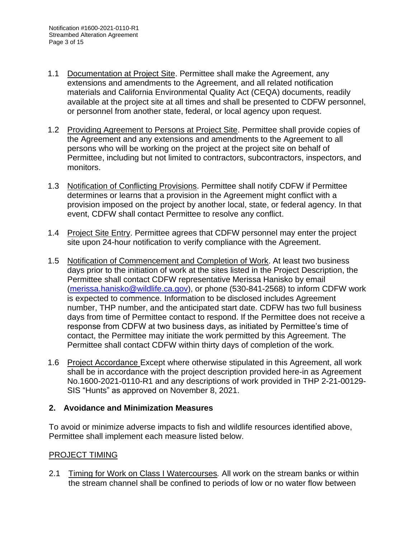- 1.1 Documentation at Project Site. Permittee shall make the Agreement, any extensions and amendments to the Agreement, and all related notification materials and California Environmental Quality Act (CEQA) documents, readily available at the project site at all times and shall be presented to CDFW personnel, or personnel from another state, federal, or local agency upon request.
- 1.2 Providing Agreement to Persons at Project Site. Permittee shall provide copies of the Agreement and any extensions and amendments to the Agreement to all persons who will be working on the project at the project site on behalf of Permittee, including but not limited to contractors, subcontractors, inspectors, and monitors.
- 1.3 Notification of Conflicting Provisions. Permittee shall notify CDFW if Permittee determines or learns that a provision in the Agreement might conflict with a provision imposed on the project by another local, state, or federal agency. In that event, CDFW shall contact Permittee to resolve any conflict.
- 1.4 Project Site Entry. Permittee agrees that CDFW personnel may enter the project site upon 24-hour notification to verify compliance with the Agreement.
- 1.5 Notification of Commencement and Completion of Work. At least two business days prior to the initiation of work at the sites listed in the Project Description, the Permittee shall contact CDFW representative Merissa Hanisko by email [\(merissa.hanisko@wildlife.ca.gov\)](mailto:merissa.hanisko@wildlife.ca.gov), or phone (530-841-2568) to inform CDFW work is expected to commence. Information to be disclosed includes Agreement number, THP number, and the anticipated start date. CDFW has two full business days from time of Permittee contact to respond. If the Permittee does not receive a response from CDFW at two business days, as initiated by Permittee's time of contact, the Permittee may initiate the work permitted by this Agreement. The Permittee shall contact CDFW within thirty days of completion of the work.
- 1.6 Project Accordance Except where otherwise stipulated in this Agreement, all work shall be in accordance with the project description provided here-in as Agreement No.1600-2021-0110-R1 and any descriptions of work provided in THP 2-21-00129- SIS "Hunts" as approved on November 8, 2021.

# **2. Avoidance and Minimization Measures**

To avoid or minimize adverse impacts to fish and wildlife resources identified above, Permittee shall implement each measure listed below.

# PROJECT TIMING

2.1 Timing for Work on Class I Watercourses*.* All work on the stream banks or within the stream channel shall be confined to periods of low or no water flow between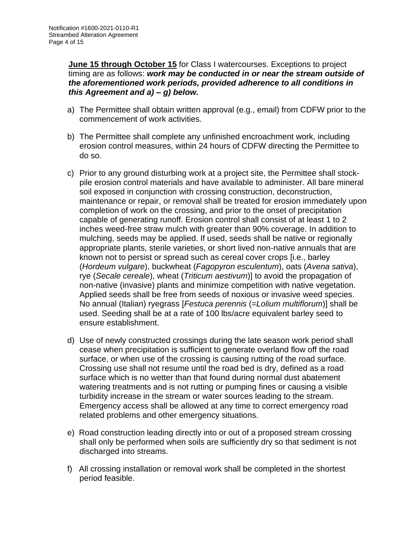**June 15 through October 15** for Class I watercourses. Exceptions to project timing are as follows: *work may be conducted in or near the stream outside of the aforementioned work periods, provided adherence to all conditions in this Agreement and a) – g) below.*

- a) The Permittee shall obtain written approval (e.g., email) from CDFW prior to the commencement of work activities.
- b) The Permittee shall complete any unfinished encroachment work, including erosion control measures, within 24 hours of CDFW directing the Permittee to do so.
- c) Prior to any ground disturbing work at a project site, the Permittee shall stockpile erosion control materials and have available to administer. All bare mineral soil exposed in conjunction with crossing construction, deconstruction, maintenance or repair, or removal shall be treated for erosion immediately upon completion of work on the crossing, and prior to the onset of precipitation capable of generating runoff. Erosion control shall consist of at least 1 to 2 inches weed-free straw mulch with greater than 90% coverage. In addition to mulching, seeds may be applied. If used, seeds shall be native or regionally appropriate plants, sterile varieties, or short lived non-native annuals that are known not to persist or spread such as cereal cover crops [i.e., barley (*Hordeum vulgare*), buckwheat (*Fagopyron esculentum*), oats (*Avena sativa*), rye (*Secale cereale*), wheat (*Triticum aestivum*)] to avoid the propagation of non-native (invasive) plants and minimize competition with native vegetation. Applied seeds shall be free from seeds of noxious or invasive weed species. No annual (Italian) ryegrass [*Festuca perennis* (=*Lolium multiflorum*)] shall be used. Seeding shall be at a rate of 100 lbs/acre equivalent barley seed to ensure establishment.
- d) Use of newly constructed crossings during the late season work period shall cease when precipitation is sufficient to generate overland flow off the road surface, or when use of the crossing is causing rutting of the road surface. Crossing use shall not resume until the road bed is dry, defined as a road surface which is no wetter than that found during normal dust abatement watering treatments and is not rutting or pumping fines or causing a visible turbidity increase in the stream or water sources leading to the stream. Emergency access shall be allowed at any time to correct emergency road related problems and other emergency situations.
- e) Road construction leading directly into or out of a proposed stream crossing shall only be performed when soils are sufficiently dry so that sediment is not discharged into streams.
- f) All crossing installation or removal work shall be completed in the shortest period feasible.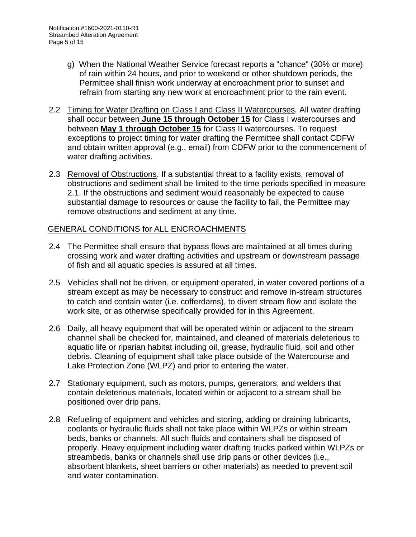- g) When the National Weather Service forecast reports a "chance" (30% or more) of rain within 24 hours, and prior to weekend or other shutdown periods, the Permittee shall finish work underway at encroachment prior to sunset and refrain from starting any new work at encroachment prior to the rain event.
- 2.2 Timing for Water Drafting on Class I and Class II Watercourses*.* All water drafting shall occur between **June 15 through October 15** for Class I watercourses and between **May 1 through October 15** for Class II watercourses. To request exceptions to project timing for water drafting the Permittee shall contact CDFW and obtain written approval (e.g., email) from CDFW prior to the commencement of water drafting activities.
- 2.3 Removal of Obstructions. If a substantial threat to a facility exists, removal of obstructions and sediment shall be limited to the time periods specified in measure 2.1. If the obstructions and sediment would reasonably be expected to cause substantial damage to resources or cause the facility to fail, the Permittee may remove obstructions and sediment at any time.

### GENERAL CONDITIONS for ALL ENCROACHMENTS

- 2.4 The Permittee shall ensure that bypass flows are maintained at all times during crossing work and water drafting activities and upstream or downstream passage of fish and all aquatic species is assured at all times.
- 2.5 Vehicles shall not be driven, or equipment operated, in water covered portions of a stream except as may be necessary to construct and remove in-stream structures to catch and contain water (i.e. cofferdams), to divert stream flow and isolate the work site, or as otherwise specifically provided for in this Agreement.
- 2.6 Daily, all heavy equipment that will be operated within or adjacent to the stream channel shall be checked for, maintained, and cleaned of materials deleterious to aquatic life or riparian habitat including oil, grease, hydraulic fluid, soil and other debris. Cleaning of equipment shall take place outside of the Watercourse and Lake Protection Zone (WLPZ) and prior to entering the water.
- 2.7 Stationary equipment, such as motors, pumps, generators, and welders that contain deleterious materials, located within or adjacent to a stream shall be positioned over drip pans.
- 2.8 Refueling of equipment and vehicles and storing, adding or draining lubricants, coolants or hydraulic fluids shall not take place within WLPZs or within stream beds, banks or channels. All such fluids and containers shall be disposed of properly. Heavy equipment including water drafting trucks parked within WLPZs or streambeds, banks or channels shall use drip pans or other devices (i.e., absorbent blankets, sheet barriers or other materials) as needed to prevent soil and water contamination.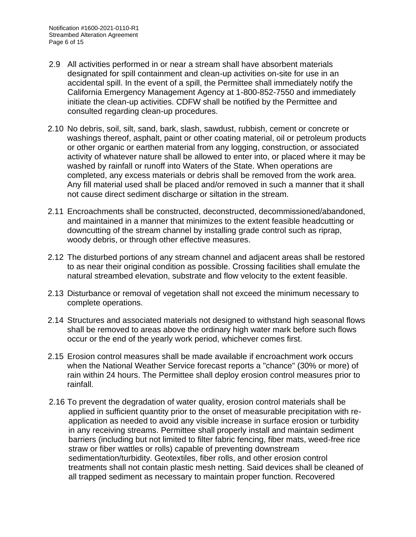- 2.9 All activities performed in or near a stream shall have absorbent materials designated for spill containment and clean-up activities on-site for use in an accidental spill. In the event of a spill, the Permittee shall immediately notify the California Emergency Management Agency at 1-800-852-7550 and immediately initiate the clean-up activities. CDFW shall be notified by the Permittee and consulted regarding clean-up procedures.
- 2.10 No debris, soil, silt, sand, bark, slash, sawdust, rubbish, cement or concrete or washings thereof, asphalt, paint or other coating material, oil or petroleum products or other organic or earthen material from any logging, construction, or associated activity of whatever nature shall be allowed to enter into, or placed where it may be washed by rainfall or runoff into Waters of the State. When operations are completed, any excess materials or debris shall be removed from the work area. Any fill material used shall be placed and/or removed in such a manner that it shall not cause direct sediment discharge or siltation in the stream.
- 2.11 Encroachments shall be constructed, deconstructed, decommissioned/abandoned, and maintained in a manner that minimizes to the extent feasible headcutting or downcutting of the stream channel by installing grade control such as riprap, woody debris, or through other effective measures.
- 2.12 The disturbed portions of any stream channel and adjacent areas shall be restored to as near their original condition as possible. Crossing facilities shall emulate the natural streambed elevation, substrate and flow velocity to the extent feasible.
- 2.13 Disturbance or removal of vegetation shall not exceed the minimum necessary to complete operations.
- 2.14 Structures and associated materials not designed to withstand high seasonal flows shall be removed to areas above the ordinary high water mark before such flows occur or the end of the yearly work period, whichever comes first.
- 2.15 Erosion control measures shall be made available if encroachment work occurs when the National Weather Service forecast reports a "chance" (30% or more) of rain within 24 hours. The Permittee shall deploy erosion control measures prior to rainfall.
- 2.16 To prevent the degradation of water quality, erosion control materials shall be applied in sufficient quantity prior to the onset of measurable precipitation with reapplication as needed to avoid any visible increase in surface erosion or turbidity in any receiving streams. Permittee shall properly install and maintain sediment barriers (including but not limited to filter fabric fencing, fiber mats, weed-free rice straw or fiber wattles or rolls) capable of preventing downstream sedimentation/turbidity. Geotextiles, fiber rolls, and other erosion control treatments shall not contain plastic mesh netting. Said devices shall be cleaned of all trapped sediment as necessary to maintain proper function. Recovered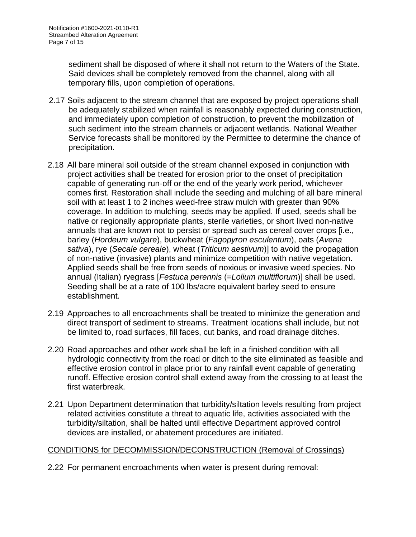sediment shall be disposed of where it shall not return to the Waters of the State. Said devices shall be completely removed from the channel, along with all temporary fills, upon completion of operations.

- 2.17 Soils adjacent to the stream channel that are exposed by project operations shall be adequately stabilized when rainfall is reasonably expected during construction, and immediately upon completion of construction, to prevent the mobilization of such sediment into the stream channels or adjacent wetlands. National Weather Service forecasts shall be monitored by the Permittee to determine the chance of precipitation.
- 2.18 All bare mineral soil outside of the stream channel exposed in conjunction with project activities shall be treated for erosion prior to the onset of precipitation capable of generating run-off or the end of the yearly work period, whichever comes first. Restoration shall include the seeding and mulching of all bare mineral soil with at least 1 to 2 inches weed-free straw mulch with greater than 90% coverage. In addition to mulching, seeds may be applied. If used, seeds shall be native or regionally appropriate plants, sterile varieties, or short lived non-native annuals that are known not to persist or spread such as cereal cover crops [i.e., barley (*Hordeum vulgare*), buckwheat (*Fagopyron esculentum*), oats (*Avena sativa*), rye (*Secale cereale*), wheat (*Triticum aestivum*)] to avoid the propagation of non-native (invasive) plants and minimize competition with native vegetation. Applied seeds shall be free from seeds of noxious or invasive weed species. No annual (Italian) ryegrass [*Festuca perennis* (=*Lolium multiflorum*)] shall be used. Seeding shall be at a rate of 100 lbs/acre equivalent barley seed to ensure establishment.
- 2.19 Approaches to all encroachments shall be treated to minimize the generation and direct transport of sediment to streams. Treatment locations shall include, but not be limited to, road surfaces, fill faces, cut banks, and road drainage ditches.
- 2.20 Road approaches and other work shall be left in a finished condition with all hydrologic connectivity from the road or ditch to the site eliminated as feasible and effective erosion control in place prior to any rainfall event capable of generating runoff. Effective erosion control shall extend away from the crossing to at least the first waterbreak.
- 2.21 Upon Department determination that turbidity/siltation levels resulting from project related activities constitute a threat to aquatic life, activities associated with the turbidity/siltation, shall be halted until effective Department approved control devices are installed, or abatement procedures are initiated.

# CONDITIONS for DECOMMISSION/DECONSTRUCTION (Removal of Crossings)

2.22 For permanent encroachments when water is present during removal: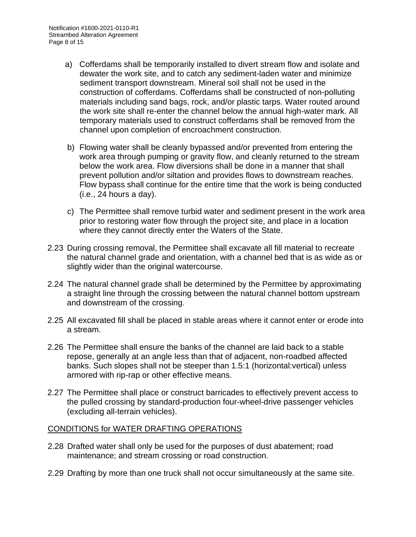- a) Cofferdams shall be temporarily installed to divert stream flow and isolate and dewater the work site, and to catch any sediment-laden water and minimize sediment transport downstream. Mineral soil shall not be used in the construction of cofferdams. Cofferdams shall be constructed of non-polluting materials including sand bags, rock, and/or plastic tarps. Water routed around the work site shall re-enter the channel below the annual high-water mark. All temporary materials used to construct cofferdams shall be removed from the channel upon completion of encroachment construction.
- b) Flowing water shall be cleanly bypassed and/or prevented from entering the work area through pumping or gravity flow, and cleanly returned to the stream below the work area. Flow diversions shall be done in a manner that shall prevent pollution and/or siltation and provides flows to downstream reaches. Flow bypass shall continue for the entire time that the work is being conducted (i.e., 24 hours a day).
- c) The Permittee shall remove turbid water and sediment present in the work area prior to restoring water flow through the project site, and place in a location where they cannot directly enter the Waters of the State.
- 2.23 During crossing removal, the Permittee shall excavate all fill material to recreate the natural channel grade and orientation, with a channel bed that is as wide as or slightly wider than the original watercourse.
- 2.24 The natural channel grade shall be determined by the Permittee by approximating a straight line through the crossing between the natural channel bottom upstream and downstream of the crossing.
- 2.25 All excavated fill shall be placed in stable areas where it cannot enter or erode into a stream.
- 2.26 The Permittee shall ensure the banks of the channel are laid back to a stable repose, generally at an angle less than that of adjacent, non-roadbed affected banks. Such slopes shall not be steeper than 1.5:1 (horizontal:vertical) unless armored with rip-rap or other effective means.
- 2.27 The Permittee shall place or construct barricades to effectively prevent access to the pulled crossing by standard-production four-wheel-drive passenger vehicles (excluding all-terrain vehicles).

### CONDITIONS for WATER DRAFTING OPERATIONS

- 2.28 Drafted water shall only be used for the purposes of dust abatement; road maintenance; and stream crossing or road construction.
- 2.29 Drafting by more than one truck shall not occur simultaneously at the same site.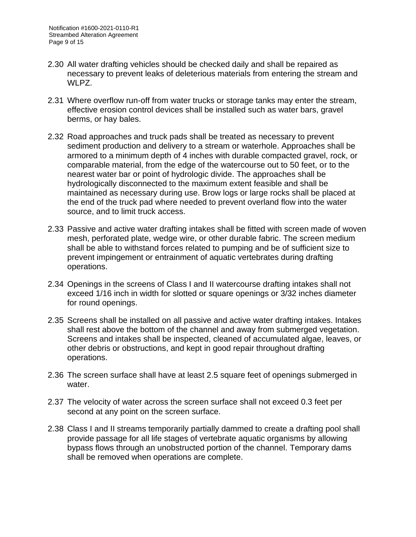- 2.30 All water drafting vehicles should be checked daily and shall be repaired as necessary to prevent leaks of deleterious materials from entering the stream and WLPZ.
- 2.31 Where overflow run-off from water trucks or storage tanks may enter the stream, effective erosion control devices shall be installed such as water bars, gravel berms, or hay bales.
- 2.32 Road approaches and truck pads shall be treated as necessary to prevent sediment production and delivery to a stream or waterhole. Approaches shall be armored to a minimum depth of 4 inches with durable compacted gravel, rock, or comparable material, from the edge of the watercourse out to 50 feet, or to the nearest water bar or point of hydrologic divide. The approaches shall be hydrologically disconnected to the maximum extent feasible and shall be maintained as necessary during use. Brow logs or large rocks shall be placed at the end of the truck pad where needed to prevent overland flow into the water source, and to limit truck access.
- 2.33 Passive and active water drafting intakes shall be fitted with screen made of woven mesh, perforated plate, wedge wire, or other durable fabric. The screen medium shall be able to withstand forces related to pumping and be of sufficient size to prevent impingement or entrainment of aquatic vertebrates during drafting operations.
- 2.34 Openings in the screens of Class I and II watercourse drafting intakes shall not exceed 1/16 inch in width for slotted or square openings or 3/32 inches diameter for round openings.
- 2.35 Screens shall be installed on all passive and active water drafting intakes. Intakes shall rest above the bottom of the channel and away from submerged vegetation. Screens and intakes shall be inspected, cleaned of accumulated algae, leaves, or other debris or obstructions, and kept in good repair throughout drafting operations.
- 2.36 The screen surface shall have at least 2.5 square feet of openings submerged in water.
- 2.37 The velocity of water across the screen surface shall not exceed 0.3 feet per second at any point on the screen surface.
- 2.38 Class I and II streams temporarily partially dammed to create a drafting pool shall provide passage for all life stages of vertebrate aquatic organisms by allowing bypass flows through an unobstructed portion of the channel. Temporary dams shall be removed when operations are complete.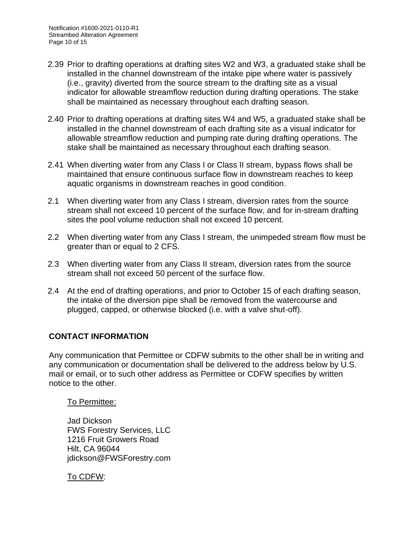- 2.39 Prior to drafting operations at drafting sites W2 and W3, a graduated stake shall be installed in the channel downstream of the intake pipe where water is passively (i.e., gravity) diverted from the source stream to the drafting site as a visual indicator for allowable streamflow reduction during drafting operations. The stake shall be maintained as necessary throughout each drafting season.
- 2.40 Prior to drafting operations at drafting sites W4 and W5, a graduated stake shall be installed in the channel downstream of each drafting site as a visual indicator for allowable streamflow reduction and pumping rate during drafting operations. The stake shall be maintained as necessary throughout each drafting season.
- 2.41 When diverting water from any Class I or Class II stream, bypass flows shall be maintained that ensure continuous surface flow in downstream reaches to keep aquatic organisms in downstream reaches in good condition.
- 2.1 When diverting water from any Class I stream, diversion rates from the source stream shall not exceed 10 percent of the surface flow, and for in-stream drafting sites the pool volume reduction shall not exceed 10 percent.
- 2.2 When diverting water from any Class I stream, the unimpeded stream flow must be areater than or equal to 2 CFS.
- 2.3 When diverting water from any Class II stream, diversion rates from the source stream shall not exceed 50 percent of the surface flow.
- 2.4 At the end of drafting operations, and prior to October 15 of each drafting season, the intake of the diversion pipe shall be removed from the watercourse and plugged, capped, or otherwise blocked (i.e. with a valve shut-off).

### **CONTACT INFORMATION**

Any communication that Permittee or CDFW submits to the other shall be in writing and any communication or documentation shall be delivered to the address below by U.S. mail or email, or to such other address as Permittee or CDFW specifies by written notice to the other.

### To Permittee:

Jad Dickson FWS Forestry Services, LLC 1216 Fruit Growers Road Hilt, CA 96044 jdickson@FWSForestry.com

To CDFW: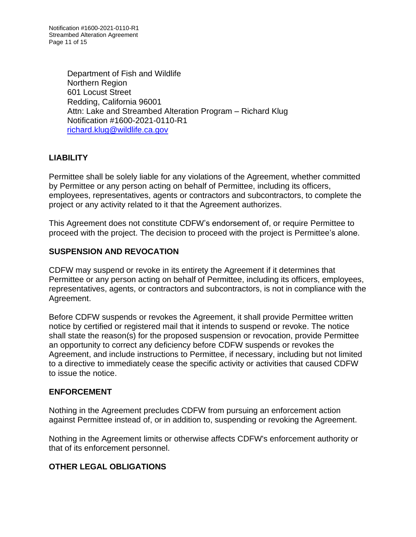Department of Fish and Wildlife Northern Region 601 Locust Street Redding, California 96001 Attn: Lake and Streambed Alteration Program – Richard Klug Notification #1600-2021-0110-R1 [richard.klug@wildlife.ca.gov](mailto:richard.klug@wildlife.ca.gov)

### **LIABILITY**

Permittee shall be solely liable for any violations of the Agreement, whether committed by Permittee or any person acting on behalf of Permittee, including its officers, employees, representatives, agents or contractors and subcontractors, to complete the project or any activity related to it that the Agreement authorizes.

This Agreement does not constitute CDFW's endorsement of, or require Permittee to proceed with the project. The decision to proceed with the project is Permittee's alone.

### **SUSPENSION AND REVOCATION**

CDFW may suspend or revoke in its entirety the Agreement if it determines that Permittee or any person acting on behalf of Permittee, including its officers, employees, representatives, agents, or contractors and subcontractors, is not in compliance with the Agreement.

Before CDFW suspends or revokes the Agreement, it shall provide Permittee written notice by certified or registered mail that it intends to suspend or revoke. The notice shall state the reason(s) for the proposed suspension or revocation, provide Permittee an opportunity to correct any deficiency before CDFW suspends or revokes the Agreement, and include instructions to Permittee, if necessary, including but not limited to a directive to immediately cease the specific activity or activities that caused CDFW to issue the notice.

### **ENFORCEMENT**

Nothing in the Agreement precludes CDFW from pursuing an enforcement action against Permittee instead of, or in addition to, suspending or revoking the Agreement.

Nothing in the Agreement limits or otherwise affects CDFW's enforcement authority or that of its enforcement personnel.

# **OTHER LEGAL OBLIGATIONS**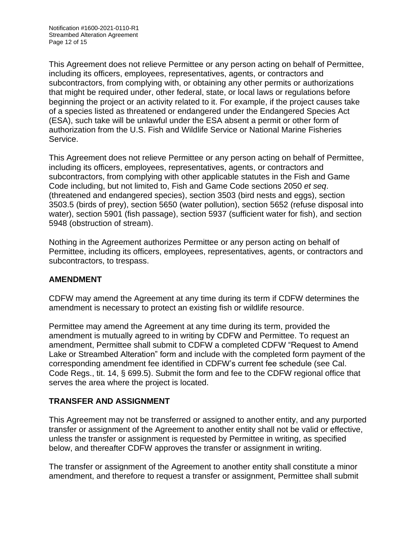This Agreement does not relieve Permittee or any person acting on behalf of Permittee, including its officers, employees, representatives, agents, or contractors and subcontractors, from complying with, or obtaining any other permits or authorizations that might be required under, other federal, state, or local laws or regulations before beginning the project or an activity related to it. For example, if the project causes take of a species listed as threatened or endangered under the Endangered Species Act (ESA), such take will be unlawful under the ESA absent a permit or other form of authorization from the U.S. Fish and Wildlife Service or National Marine Fisheries Service.

This Agreement does not relieve Permittee or any person acting on behalf of Permittee, including its officers, employees, representatives, agents, or contractors and subcontractors, from complying with other applicable statutes in the Fish and Game Code including, but not limited to, Fish and Game Code sections 2050 *et seq*. (threatened and endangered species), section 3503 (bird nests and eggs), section 3503.5 (birds of prey), section 5650 (water pollution), section 5652 (refuse disposal into water), section 5901 (fish passage), section 5937 (sufficient water for fish), and section 5948 (obstruction of stream).

Nothing in the Agreement authorizes Permittee or any person acting on behalf of Permittee, including its officers, employees, representatives, agents, or contractors and subcontractors, to trespass.

# **AMENDMENT**

CDFW may amend the Agreement at any time during its term if CDFW determines the amendment is necessary to protect an existing fish or wildlife resource.

Permittee may amend the Agreement at any time during its term, provided the amendment is mutually agreed to in writing by CDFW and Permittee. To request an amendment, Permittee shall submit to CDFW a completed CDFW "Request to Amend Lake or Streambed Alteration" form and include with the completed form payment of the corresponding amendment fee identified in CDFW's current fee schedule (see Cal. Code Regs., tit. 14, § 699.5). Submit the form and fee to the CDFW regional office that serves the area where the project is located.

# **TRANSFER AND ASSIGNMENT**

This Agreement may not be transferred or assigned to another entity, and any purported transfer or assignment of the Agreement to another entity shall not be valid or effective, unless the transfer or assignment is requested by Permittee in writing, as specified below, and thereafter CDFW approves the transfer or assignment in writing.

The transfer or assignment of the Agreement to another entity shall constitute a minor amendment, and therefore to request a transfer or assignment, Permittee shall submit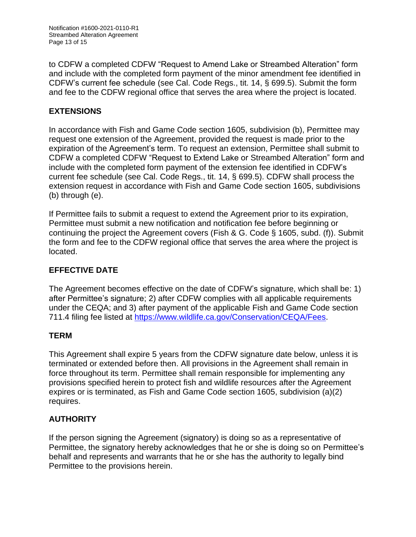to CDFW a completed CDFW "Request to Amend Lake or Streambed Alteration" form and include with the completed form payment of the minor amendment fee identified in CDFW's current fee schedule (see Cal. Code Regs., tit. 14, § 699.5). Submit the form and fee to the CDFW regional office that serves the area where the project is located.

# **EXTENSIONS**

In accordance with Fish and Game Code section 1605, subdivision (b), Permittee may request one extension of the Agreement, provided the request is made prior to the expiration of the Agreement's term. To request an extension, Permittee shall submit to CDFW a completed CDFW "Request to Extend Lake or Streambed Alteration" form and include with the completed form payment of the extension fee identified in CDFW's current fee schedule (see Cal. Code Regs., tit. 14, § 699.5). CDFW shall process the extension request in accordance with Fish and Game Code section 1605, subdivisions (b) through (e).

If Permittee fails to submit a request to extend the Agreement prior to its expiration, Permittee must submit a new notification and notification fee before beginning or continuing the project the Agreement covers (Fish & G. Code § 1605, subd. (f)). Submit the form and fee to the CDFW regional office that serves the area where the project is located.

# **EFFECTIVE DATE**

The Agreement becomes effective on the date of CDFW's signature, which shall be: 1) after Permittee's signature; 2) after CDFW complies with all applicable requirements under the CEQA; and 3) after payment of the applicable Fish and Game Code section 711.4 filing fee listed at [https://www.wildlife.ca.gov/Conservation/CEQA/Fees.](https://www.wildlife.ca.gov/Conservation/CEQA/Fees)

# **TERM**

This Agreement shall expire 5 years from the CDFW signature date below, unless it is terminated or extended before then. All provisions in the Agreement shall remain in force throughout its term. Permittee shall remain responsible for implementing any provisions specified herein to protect fish and wildlife resources after the Agreement expires or is terminated, as Fish and Game Code section 1605, subdivision (a)(2) requires.

# **AUTHORITY**

If the person signing the Agreement (signatory) is doing so as a representative of Permittee, the signatory hereby acknowledges that he or she is doing so on Permittee's behalf and represents and warrants that he or she has the authority to legally bind Permittee to the provisions herein.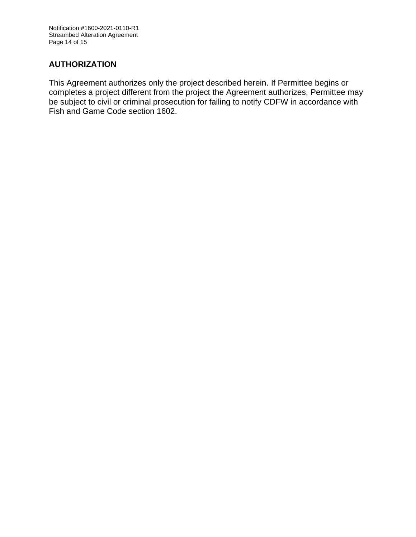Notification #1600-2021-0110-R1 Streambed Alteration Agreement Page 14 of 15

# **AUTHORIZATION**

This Agreement authorizes only the project described herein. If Permittee begins or completes a project different from the project the Agreement authorizes, Permittee may be subject to civil or criminal prosecution for failing to notify CDFW in accordance with Fish and Game Code section 1602.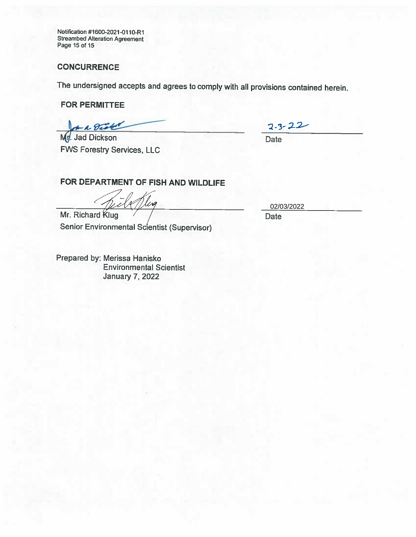**Notification #1600-2021-0110-R1 Streambed Alteration Agreement Page 15 of 15**

#### **CONCURRENCE**

**The undersigned accepts and agrees to comply with all provisions contained herein.**

**FOR PERMITTEE**

on a Dist

**Jad Dickson FWS Forestry Services, LLC**

 $2 - 3 - 22$ **Date**

**FOR DEPARTMENT OF FISH AND WILDLIFE**

1 lva

**Mr.** Richard **Klug Senior Environmental Scientist (Supervisor)**

**Prepared by: Merissa Hanisko Environmental Scientist January 7, 2022**

02/03/2022

**Date**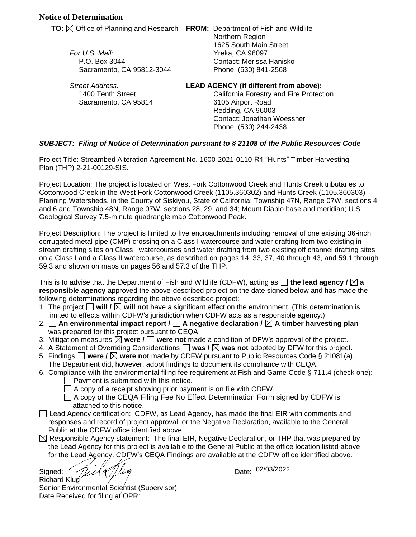| For U.S. Mail:<br>P.O. Box 3044<br>Sacramento, CA 95812-3044 | <b>TO:</b> $\boxtimes$ Office of Planning and Research FROM: Department of Fish and Wildlife<br>Northern Region<br>1625 South Main Street<br><b>Yreka, CA 96097</b><br>Contact: Merissa Hanisko<br>Phone: (530) 841-2568 |
|--------------------------------------------------------------|--------------------------------------------------------------------------------------------------------------------------------------------------------------------------------------------------------------------------|
| Street Address:                                              | <b>LEAD AGENCY (if different from above):</b>                                                                                                                                                                            |
| 1400 Tenth Street                                            | California Forestry and Fire Protection                                                                                                                                                                                  |
| Sacramento, CA 95814                                         | 6105 Airport Road                                                                                                                                                                                                        |

Redding, CA 96003 Contact: Jonathan Woessner Phone: (530) 244-2438

#### *SUBJECT: Filing of Notice of Determination pursuant to § 21108 of the Public Resources Code*

Project Title: Streambed Alteration Agreement No. 1600-2021-0110-R1 "Hunts" Timber Harvesting Plan (THP) 2-21-00129-SIS.

Project Location: The project is located on West Fork Cottonwood Creek and Hunts Creek tributaries to Cottonwood Creek in the West Fork Cottonwood Creek (1105.360302) and Hunts Creek (1105.360303) Planning Watersheds, in the County of Siskiyou, State of California; Township 47N, Range 07W, sections 4 and 6 and Township 48N, Range 07W, sections 28, 29, and 34; Mount Diablo base and meridian; U.S. Geological Survey 7.5-minute quadrangle map Cottonwood Peak.

Project Description: The project is limited to five encroachments including removal of one existing 36-inch corrugated metal pipe (CMP) crossing on a Class I watercourse and water drafting from two existing instream drafting sites on Class I watercourses and water drafting from two existing off channel drafting sites on a Class I and a Class II watercourse, as described on pages 14, 33, 37, 40 through 43, and 59.1 through 59.3 and shown on maps on pages 56 and 57.3 of the THP.

This is to advise that the Department of Fish and Wildlife (CDFW), acting as  $\Box$  **the lead agency /**  $\boxtimes$  **a responsible agency** approved the above-described project on the date signed below and has made the following determinations regarding the above described project:

- 1. The project **will / will not** have a significant effect on the environment. (This determination is B limited to effects within CDFW's jurisdiction when CDFW acts as a responsible agency.)
- 2. **An environmental impact report / A negative declaration / A timber harvesting plan**  was prepared for this project pursuant to CEQA.
- 3. Mitigation measures **were / were not** made a condition of DFW's approval of the project. B
- 4. A Statement of Overriding Considerations  $\Box$  was  $\prime \boxtimes$  was not adopted by DFW for this project.
- 5. Findings **were / were not** made by CDFW pursuant to Public Resources Code § 21081(a). B The Department did, however, adopt findings to document its compliance with CEQA.
- 6. Compliance with the environmental filing fee requirement at Fish and Game Code § 711.4 (check one):
	- Payment is submitted with this notice.
	- $\Box$  A copy of a receipt showing prior payment is on file with CDFW.
	- $\Box$  A copy of the CEQA Filing Fee No Effect Determination Form signed by CDFW is attached to this notice.
- □ Lead Agency certification: CDFW, as Lead Agency, has made the final EIR with comments and responses and record of project approval, or the Negative Declaration, available to the General Public at the CDFW office identified above.
- Responsible Agency statement: The final EIR, Negative Declaration, or THP that was prepared by Responsible Agency statement: The final EIR, Negative Declaration, or THP that was prepared by the Lead Agency for this project is available to the General Public at the office location listed above for the Lead Agency. CDFW's CEQA Findings are available at the CDFW office identified above.

Signed:  $\eta_{\ell\ell}/\eta_{\ell\ell}$ Richard Klug *7;*

Date: 02/03/2022

Senior Environmental Scientist (Supervisor) Date Received for filing at OPR: